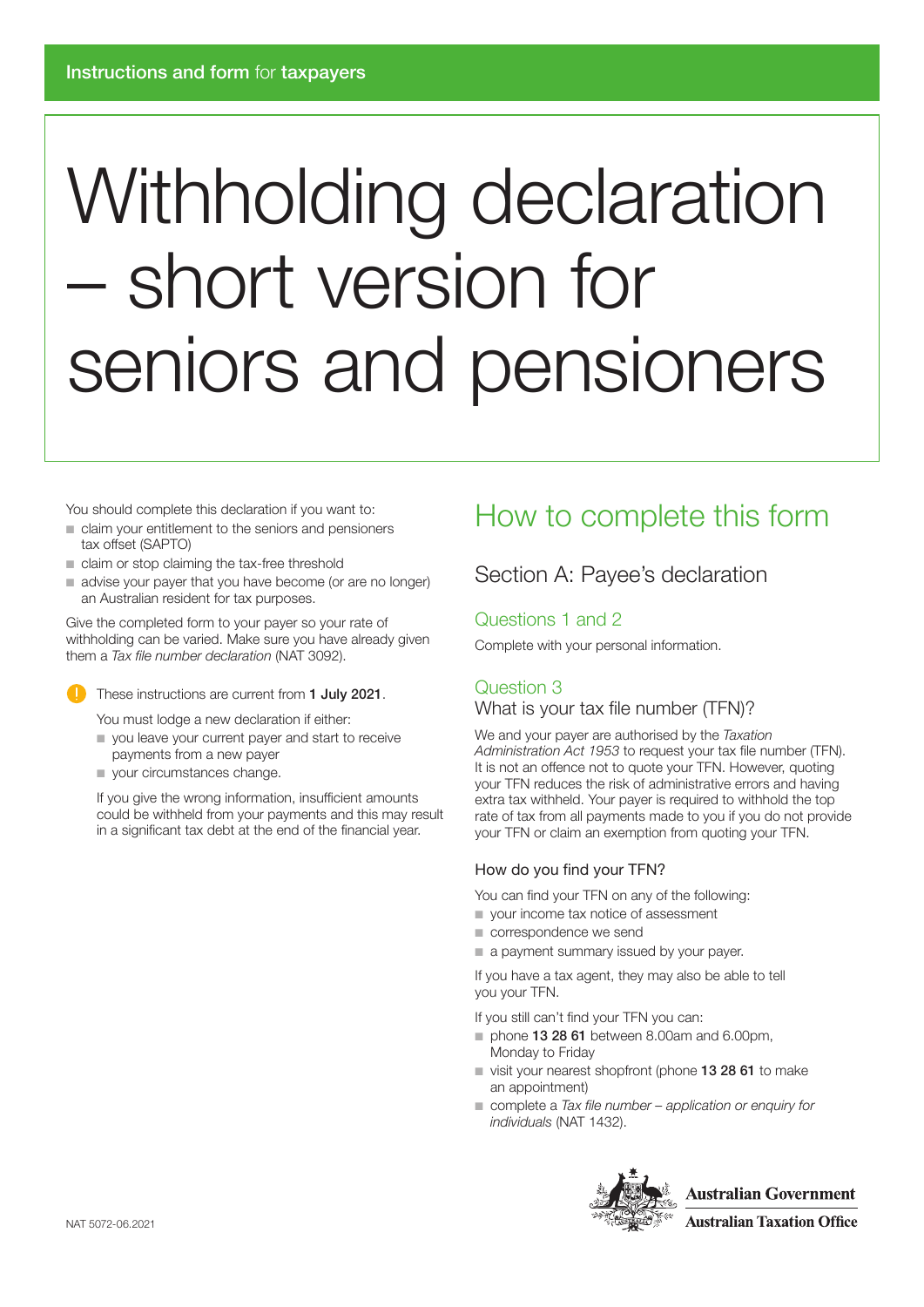# Withholding declaration – short version for seniors and pensioners

You should complete this declaration if you want to:

- claim your entitlement to the seniors and pensioners tax offset (SAPTO)
- claim or stop claiming the tax-free threshold
- advise your payer that you have become (or are no longer) an Australian resident for tax purposes.

Give the completed form to your payer so your rate of withholding can be varied. Make sure you have already given them a *Tax file number declaration* (NAT 3092).



These instructions are current from 1 July 2021.

You must lodge a new declaration if either:

- you leave your current payer and start to receive payments from a new payer
- your circumstances change.

If you give the wrong information, insufficient amounts could be withheld from your payments and this may result in a significant tax debt at the end of the financial year.

# How to complete this form

### Section A: Payee's declaration

### Questions 1 and 2

Complete with your personal information.

### Question 3

### What is your tax file number (TFN)?

We and your payer are authorised by the *Taxation Administration Act 1953* to request your tax file number (TFN). It is not an offence not to quote your TFN. However, quoting your TFN reduces the risk of administrative errors and having extra tax withheld. Your payer is required to withhold the top rate of tax from all payments made to you if you do not provide your TFN or claim an exemption from quoting your TFN.

### How do you find your TFN?

You can find your TFN on any of the following:

- your income tax notice of assessment
- correspondence we send
- a payment summary issued by your payer.

If you have a tax agent, they may also be able to tell you your TFN.

If you still can't find your TFN you can:

- phone 13 28 61 between 8.00am and 6.00pm, Monday to Friday
- visit your nearest shopfront (phone 13 28 61 to make an appointment)
- complete a *Tax file number application or enquiry for individuals* (NAT 1432).

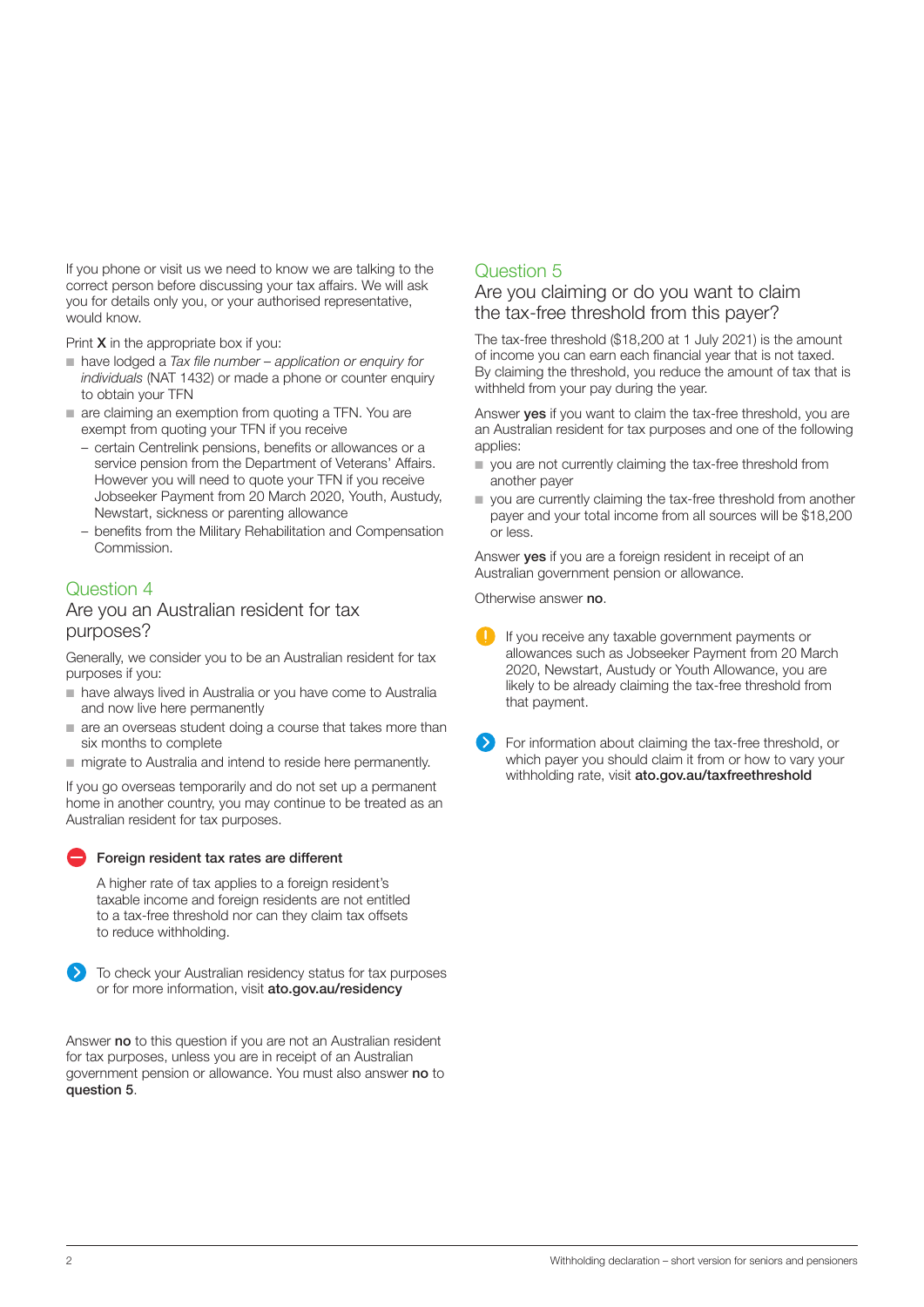If you phone or visit us we need to know we are talking to the correct person before discussing your tax affairs. We will ask you for details only you, or your authorised representative, would know.

Print **X** in the appropriate box if you:

- have lodged a *Tax file number application or enquiry for individuals* (NAT 1432) or made a phone or counter enquiry to obtain your TFN
- are claiming an exemption from quoting a TFN. You are exempt from quoting your TFN if you receive
	- certain Centrelink pensions, benefits or allowances or a service pension from the Department of Veterans' Affairs. However you will need to quote your TFN if you receive Jobseeker Payment from 20 March 2020, Youth, Austudy, Newstart, sickness or parenting allowance
	- benefits from the Military Rehabilitation and Compensation Commission.

### Question 4

### Are you an Australian resident for tax purposes?

Generally, we consider you to be an Australian resident for tax purposes if you:

- have always lived in Australia or you have come to Australia and now live here permanently
- are an overseas student doing a course that takes more than six months to complete
- migrate to Australia and intend to reside here permanently.

If you go overseas temporarily and do not set up a permanent home in another country, you may continue to be treated as an Australian resident for tax purposes.

### **Foreign resident tax rates are different**

A higher rate of tax applies to a foreign resident's taxable income and foreign residents are not entitled to a tax-free threshold nor can they claim tax offsets to reduce withholding.



To check your Australian residency status for tax purposes or for more information, visit [ato.gov.au/residency](http://ato.gov.au/residency)

Answer no to this question if you are not an Australian resident for tax purposes, unless you are in receipt of an Australian government pension or allowance. You must also answer no to question 5.

### Question 5

### Are you claiming or do you want to claim the tax-free threshold from this payer?

The tax-free threshold (\$18,200 at 1 July 2021) is the amount of income you can earn each financial year that is not taxed. By claiming the threshold, you reduce the amount of tax that is withheld from your pay during the year.

Answer **ves** if you want to claim the tax-free threshold, you are an Australian resident for tax purposes and one of the following applies:

- you are not currently claiming the tax-free threshold from another payer
- you are currently claiming the tax-free threshold from another payer and your total income from all sources will be \$18,200 or less.

Answer yes if you are a foreign resident in receipt of an Australian government pension or allowance.

Otherwise answer no.

- If you receive any taxable government payments or allowances such as Jobseeker Payment from 20 March 2020, Newstart, Austudy or Youth Allowance, you are likely to be already claiming the tax-free threshold from that payment.
- For information about claiming the tax-free threshold, or which payer you should claim it from or how to vary your withholding rate, visit [ato.gov.au/taxfreethreshold](http://ato.gov.au/taxfreethreshold)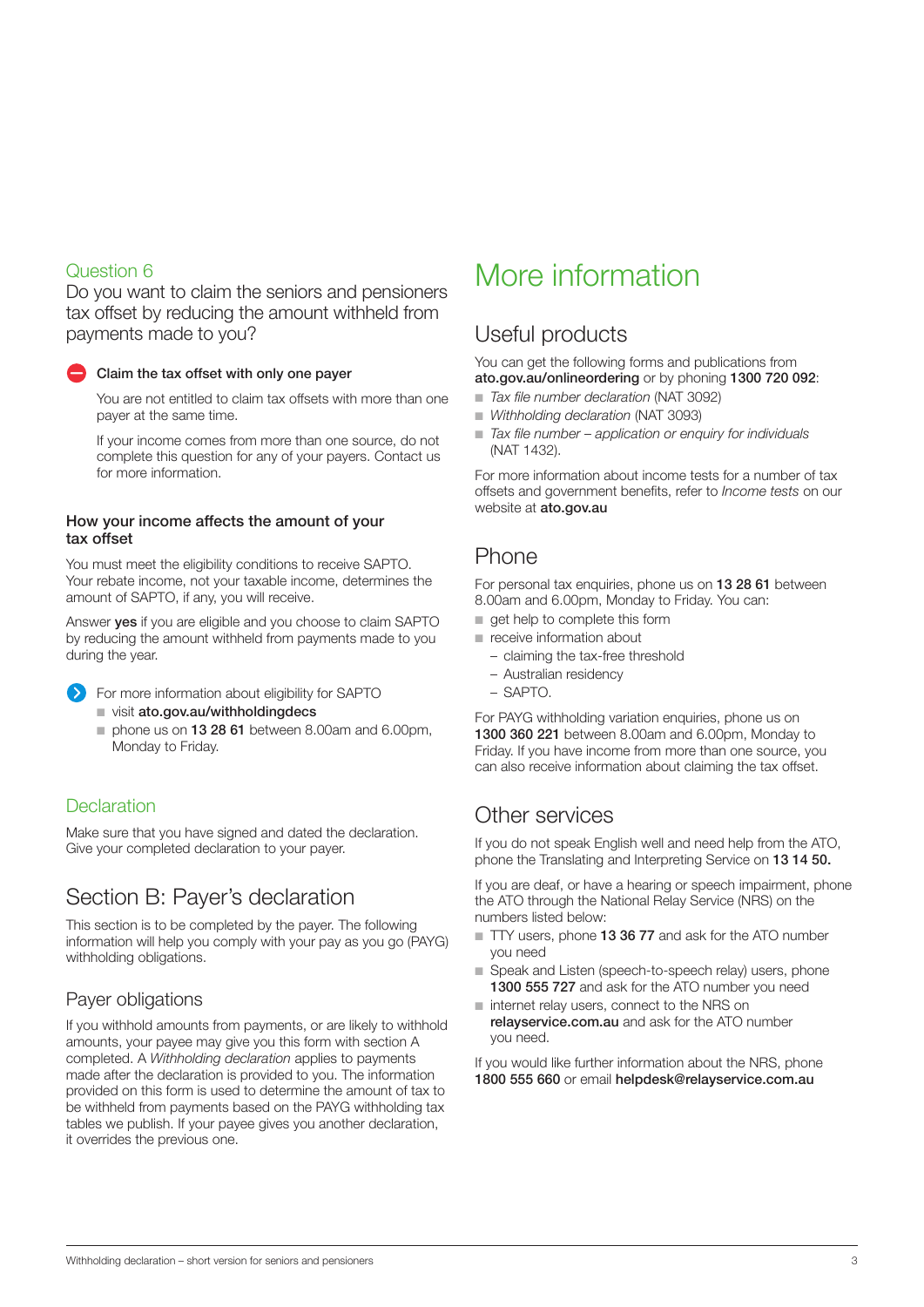### Question 6

Do you want to claim the seniors and pensioners tax offset by reducing the amount withheld from payments made to you?



### Claim the tax offset with only one payer

You are not entitled to claim tax offsets with more than one payer at the same time.

If your income comes from more than one source, do not complete this question for any of your payers. Contact us for more information.

### How your income affects the amount of your tax offset

You must meet the eligibility conditions to receive SAPTO. Your rebate income, not your taxable income, determines the amount of SAPTO, if any, you will receive.

Answer yes if you are eligible and you choose to claim SAPTO by reducing the amount withheld from payments made to you during the year.

**Example 3** For more information about eligibility for SAPTO ■ visit [ato.gov.au/withholdingdecs](http://ato.gov.au/withholdingdecs)

■ phone us on 13 28 61 between 8.00am and 6.00pm, Monday to Friday.

### **Declaration**

Make sure that you have signed and dated the declaration. Give your completed declaration to your payer.

### Section B: Payer's declaration

This section is to be completed by the payer. The following information will help you comply with your pay as you go (PAYG) withholding obligations.

### Payer obligations

If you withhold amounts from payments, or are likely to withhold amounts, your payee may give you this form with section A completed. A *Withholding declaration* applies to payments made after the declaration is provided to you. The information provided on this form is used to determine the amount of tax to be withheld from payments based on the PAYG withholding tax tables we publish. If your payee gives you another declaration, it overrides the previous one.

# More information

# Useful products

You can get the following forms and publications from [ato.gov.au/onlineordering](http://ato.gov.au/onlineordering) or by phoning 1300 720 092:

- *Tax file number declaration* (NAT 3092)
- *Withholding declaration* (NAT 3093)
- *Tax file number application or enquiry for individuals* (NAT 1432).

For more information about income tests for a number of tax offsets and government benefits, refer to *Income tests* on our website at [ato.gov.au](http://ato.gov.au)

### Phone

For personal tax enquiries, phone us on 13 28 61 between 8.00am and 6.00pm, Monday to Friday. You can:

- get help to complete this form
- receive information about
	- claiming the tax-free threshold
	- Australian residency
	- SAPTO.

For PAYG withholding variation enquiries, phone us on 1300 360 221 between 8.00am and 6.00pm, Monday to Friday. If you have income from more than one source, you can also receive information about claiming the tax offset.

## Other services

If you do not speak English well and need help from the ATO, phone the Translating and Interpreting Service on 13 14 50.

If you are deaf, or have a hearing or speech impairment, phone the ATO through the National Relay Service (NRS) on the numbers listed below:

- TTY users, phone 13 36 77 and ask for the ATO number you need
- Speak and Listen (speech-to-speech relay) users, phone 1300 555 727 and ask for the ATO number you need
- internet relay users, connect to the NRS on [relayservice.com.au](http://relayservice.com.au/) and ask for the ATO number you need.

If you would like further information about the NRS, phone 1800 555 660 or email [helpdesk@relayservice.com.au](mailto:helpdesk@relayservice.com.au)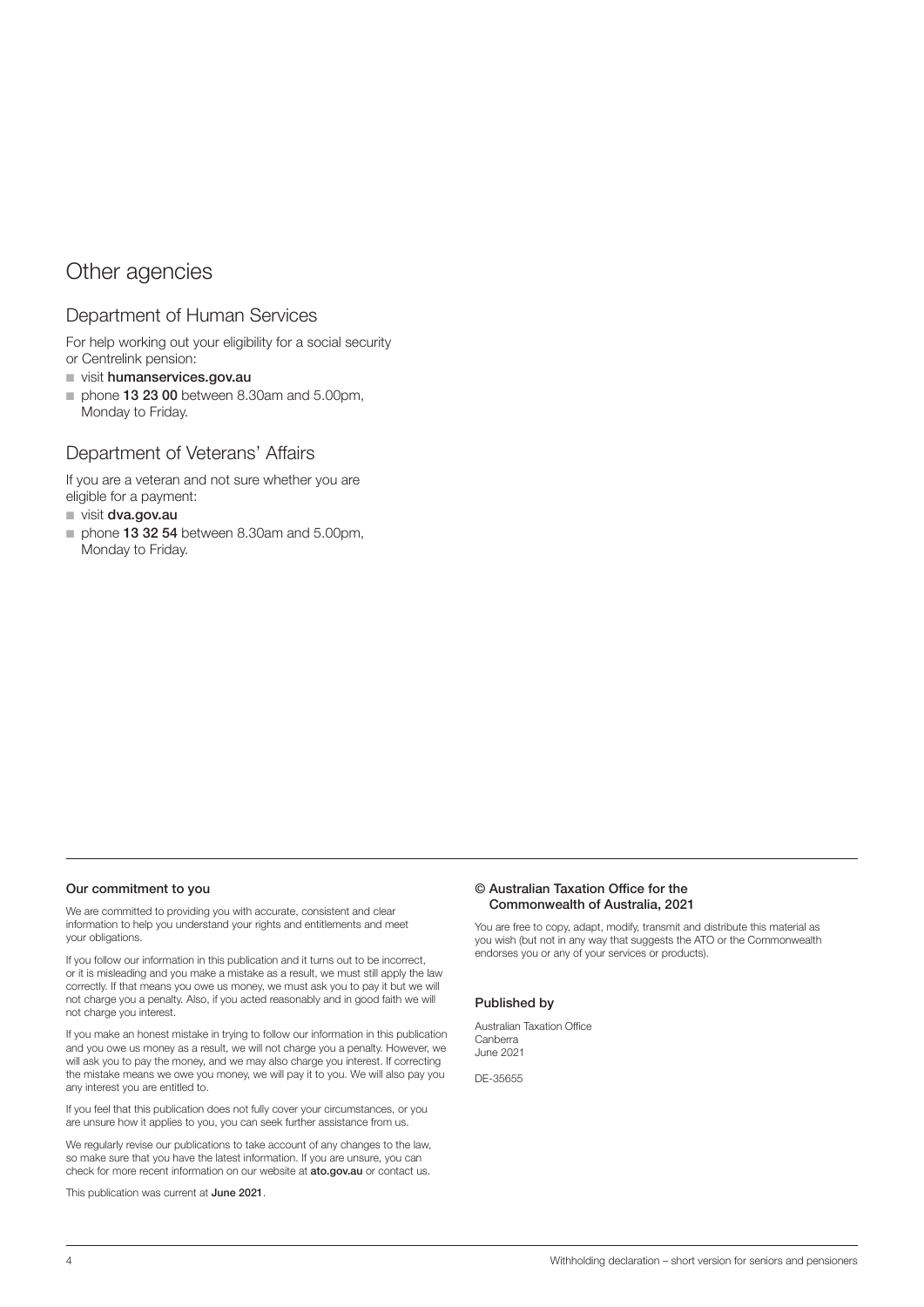### Other agencies

### Department of Human Services

For help working out your eligibility for a social security or Centrelink pension:

- visit [humanservices.gov.au](http://humanservices.gov.au/)
- phone 13 23 00 between 8.30am and 5.00pm, Monday to Friday.

### Department of Veterans' Affairs

If you are a veteran and not sure whether you are eligible for a payment:

■ visit [dva.gov.au](http://dva.gov.au/)

■ phone 13 32 54 between 8.30am and 5.00pm, Monday to Friday.

#### Our commitment to you

We are committed to providing you with accurate, consistent and clear information to help you understand your rights and entitlements and meet your obligations.

If you follow our information in this publication and it turns out to be incorrect, or it is misleading and you make a mistake as a result, we must still apply the law correctly. If that means you owe us money, we must ask you to pay it but we will not charge you a penalty. Also, if you acted reasonably and in good faith we will not charge you interest.

If you make an honest mistake in trying to follow our information in this publication and you owe us money as a result, we will not charge you a penalty. However, we will ask you to pay the money, and we may also charge you interest. If correcting the mistake means we owe you money, we will pay it to you. We will also pay you any interest you are entitled to.

If you feel that this publication does not fully cover your circumstances, or you are unsure how it applies to you, you can seek further assistance from us.

We regularly revise our publications to take account of any changes to the law, so make sure that you have the latest information. If you are unsure, you can check for more recent information on our website at [ato.gov.au](http://ato.gov.au) or contact us.

This publication was current at June 2021.

#### © Australian Taxation Office for the Commonwealth of Australia, 2021

You are free to copy, adapt, modify, transmit and distribute this material as you wish (but not in any way that suggests the ATO or the Commonwealth endorses you or any of your services or products).

#### Published by

Australian Taxation Office Canberra June 2021

DE-35655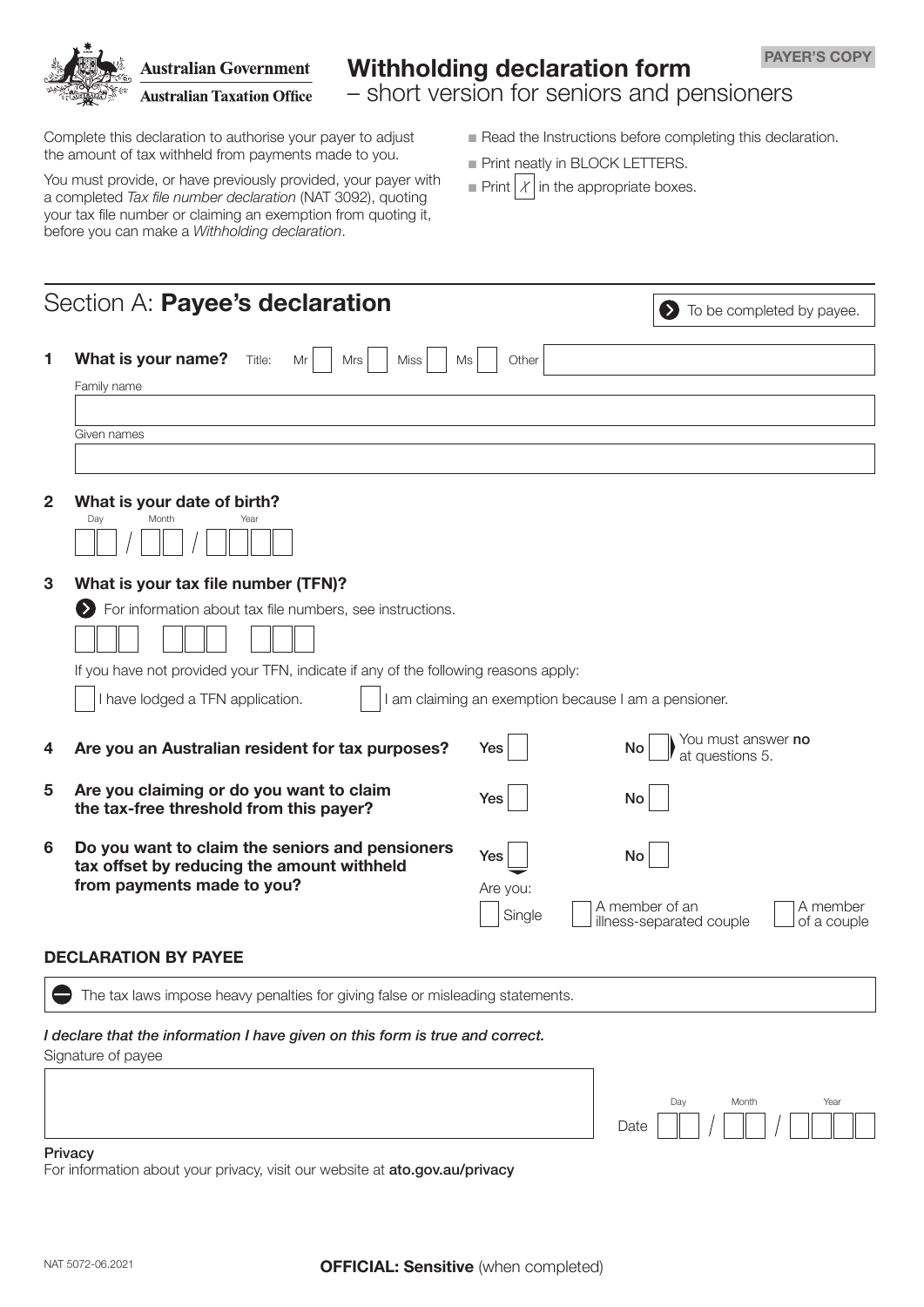

# Withholding declaration form

– short version for seniors and pensioners

Complete this declaration to authorise your payer to adjust the amount of tax withheld from payments made to you.

You must provide, or have previously provided, your payer with a completed *Tax file number declaration* (NAT 3092), quoting your tax file number or claiming an exemption from quoting it, before you can make a *Withholding declaration*.

- $\blacksquare$  Read the Instructions before completing this declaration.
- **n** Print neatly in BLOCK LETTERS.
- Print  $\mathcal{X}$  in the appropriate boxes.

|                | Section A: Payee's declaration                                                                |          | To be completed by payee.<br>D)                                       |  |  |  |  |  |  |  |
|----------------|-----------------------------------------------------------------------------------------------|----------|-----------------------------------------------------------------------|--|--|--|--|--|--|--|
| 1              | What is your name?<br>Title:<br>Mrs<br><b>Miss</b><br>Mr<br>Ms                                | Other    |                                                                       |  |  |  |  |  |  |  |
|                | Family name                                                                                   |          |                                                                       |  |  |  |  |  |  |  |
|                |                                                                                               |          |                                                                       |  |  |  |  |  |  |  |
|                | Given names                                                                                   |          |                                                                       |  |  |  |  |  |  |  |
|                |                                                                                               |          |                                                                       |  |  |  |  |  |  |  |
| $\overline{2}$ | What is your date of birth?                                                                   |          |                                                                       |  |  |  |  |  |  |  |
|                | Day<br>Month<br>Year                                                                          |          |                                                                       |  |  |  |  |  |  |  |
| 3              | What is your tax file number (TFN)?                                                           |          |                                                                       |  |  |  |  |  |  |  |
|                | For information about tax file numbers, see instructions.<br>>)                               |          |                                                                       |  |  |  |  |  |  |  |
|                |                                                                                               |          |                                                                       |  |  |  |  |  |  |  |
|                | If you have not provided your TFN, indicate if any of the following reasons apply:            |          |                                                                       |  |  |  |  |  |  |  |
|                | have lodged a TFN application.<br>I am claiming an exemption because I am a pensioner.        |          |                                                                       |  |  |  |  |  |  |  |
|                |                                                                                               |          |                                                                       |  |  |  |  |  |  |  |
| 4              | Are you an Australian resident for tax purposes?                                              | Yes      | You must answer <b>no</b><br><b>No</b><br>at questions 5.             |  |  |  |  |  |  |  |
| 5              | Are you claiming or do you want to claim<br>the tax-free threshold from this payer?           | Yes      | No                                                                    |  |  |  |  |  |  |  |
| 6              | Do you want to claim the seniors and pensioners<br>tax offset by reducing the amount withheld | Yes      | No                                                                    |  |  |  |  |  |  |  |
|                | from payments made to you?                                                                    | Are you: |                                                                       |  |  |  |  |  |  |  |
|                |                                                                                               | Single   | A member of an<br>A member<br>illness-separated couple<br>of a couple |  |  |  |  |  |  |  |
|                | <b>DECLARATION BY PAYEE</b>                                                                   |          |                                                                       |  |  |  |  |  |  |  |
|                | The tax laws impose heavy penalties for giving false or misleading statements.                |          |                                                                       |  |  |  |  |  |  |  |
|                | I declare that the information I have given on this form is true and correct.                 |          |                                                                       |  |  |  |  |  |  |  |
|                | Signature of payee                                                                            |          |                                                                       |  |  |  |  |  |  |  |
|                |                                                                                               |          |                                                                       |  |  |  |  |  |  |  |
|                |                                                                                               |          | Year<br>Day<br>Month                                                  |  |  |  |  |  |  |  |
|                |                                                                                               |          | Date                                                                  |  |  |  |  |  |  |  |
|                | Drivaov                                                                                       |          |                                                                       |  |  |  |  |  |  |  |

Privacy

For information about your privacy, visit our website at [ato.gov.au/privacy](http://ato.gov.au/privacy)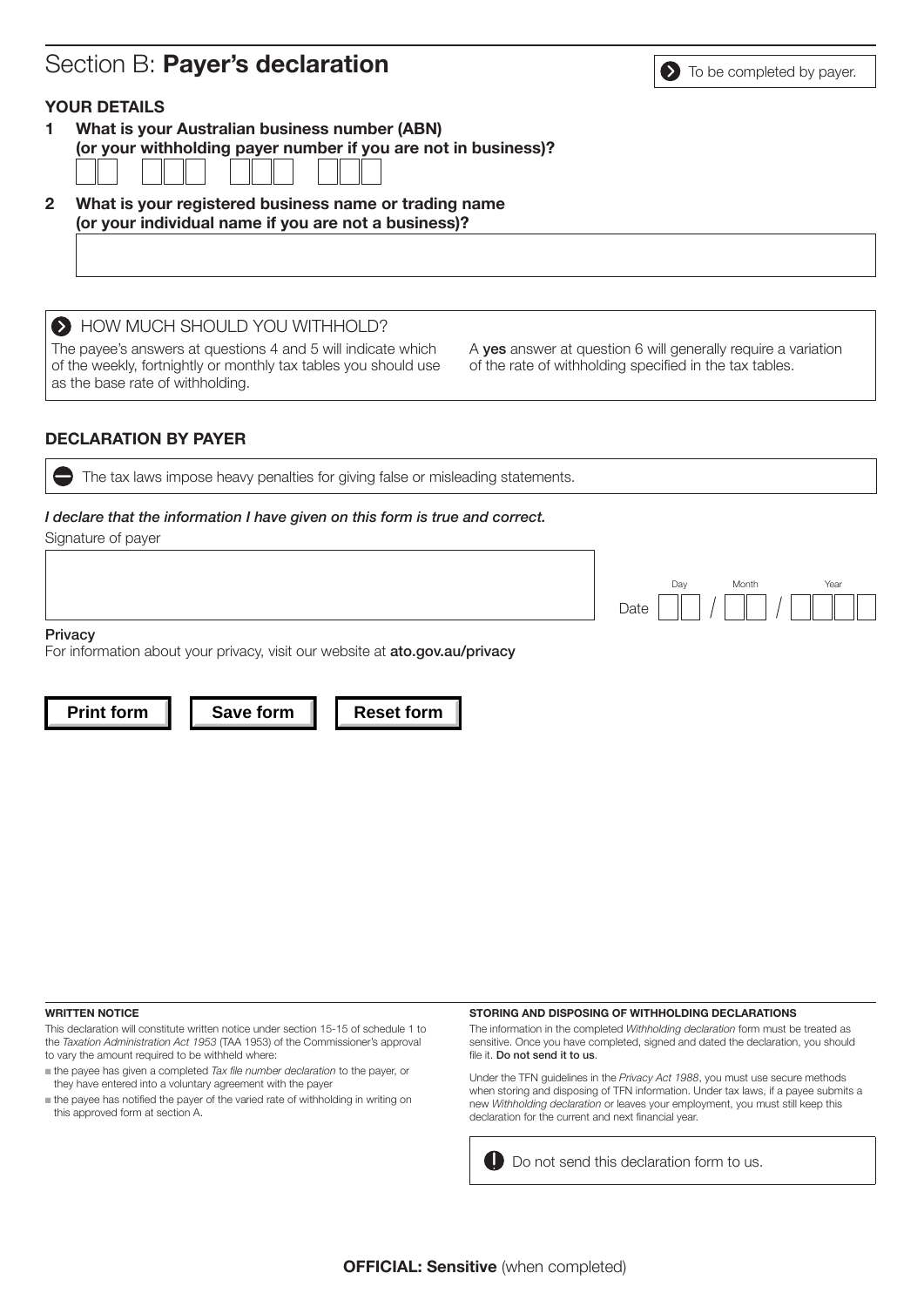# Section B: **Payer's declaration** Section  $\bullet$  To be completed by payer.

### YOUR DETAILS

1 What is your Australian business number (ABN) (or your withholding payer number if you are not in business)?

2 What is your registered business name or trading name (or your individual name if you are not a business)?

 $\bullet$  HOW MUCH SHOULD YOU WITHHOLD?

The payee's answers at questions 4 and 5 will indicate which of the weekly, fortnightly or monthly tax tables you should use as the base rate of withholding.

A yes answer at question 6 will generally require a variation of the rate of withholding specified in the tax tables.

### DECLARATION BY PAYER

The tax laws impose heavy penalties for giving false or misleading statements.

### *I declare that the information I have given on this form is true and correct.*

Signature of payer

Date Day Month

**Privacy** 

For information about your privacy, visit our website at [ato.gov.au/privacy](http://ato.gov.au/privacy)

**Print form | | Save form | | Reset form** 

WRITTEN NOTICE

This declaration will constitute written notice under section 15-15 of schedule 1 to the *Taxation Administration Act 1953* (TAA 1953) of the Commissioner's approval to vary the amount required to be withheld where:

- n the payee has given a completed *Tax file number declaration* to the payer, or they have entered into a voluntary agreement with the payer
- $n$  the payee has notified the payer of the varied rate of withholding in writing on this approved form at section A.

#### STORING AND DISPOSING OF WITHHOLDING DECLARATIONS

The information in the completed *Withholding declaration* form must be treated as sensitive. Once you have completed, signed and dated the declaration, you should file it. Do not send it to us.

Under the TFN guidelines in the *Privacy Act 1988*, you must use secure methods when storing and disposing of TFN information. Under tax laws, if a payee submits a new *Withholding declaration* or leaves your employment, you must still keep this declaration for the current and next financial year.

**D** Do not send this declaration form to us.